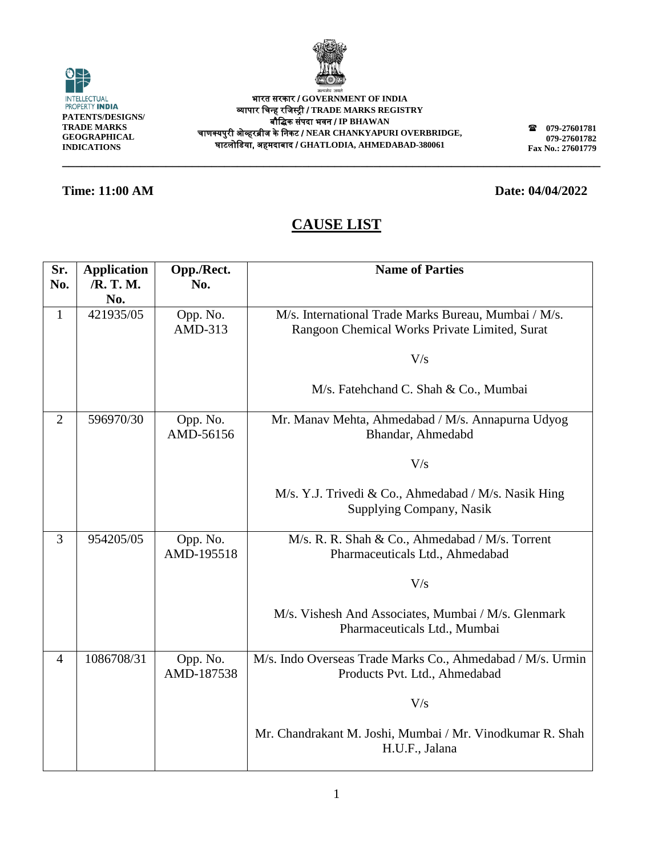

O INTELLECTUAL<br>PROPERTY **INDIA PATENTS/DESIGNS/ TRADE MARKS GEOGRAPHICAL INDICATIONS**

भारत सरकार / **GOVERNMENT OF INDIA** व्यापार चिन्ह रचिस्ट्री / **TRADE MARKS REGISTRY** बौचिक संपदा भवन / **IP BHAWAN** िाणक्यपुरी ओव्हरब्रीि के चनकट / **NEAR CHANKYAPURI OVERBRIDGE,** घाटलोचिया, अहमदाबाद / **GHATLODIA, AHMEDABAD-380061**

**\_\_\_\_\_\_\_\_\_\_\_\_\_\_\_\_\_\_\_\_\_\_\_\_\_\_\_\_\_\_\_\_\_\_\_\_\_\_\_\_\_\_\_\_\_\_\_\_\_\_\_\_\_\_\_\_\_\_\_\_\_\_\_\_\_\_\_\_\_\_\_\_\_\_\_\_\_\_\_\_\_\_\_**

**079-27601781 079-27601782 Fax No.: 27601779**

### **Time: 11:00 AM Date: 04/04/2022**

| Sr.            | <b>Application</b> | Opp./Rect. | <b>Name of Parties</b>                                     |
|----------------|--------------------|------------|------------------------------------------------------------|
| No.            | /R. T. M.          | No.        |                                                            |
|                | No.                |            |                                                            |
| $\mathbf{1}$   | 421935/05          | Opp. No.   | M/s. International Trade Marks Bureau, Mumbai / M/s.       |
|                |                    | AMD-313    | Rangoon Chemical Works Private Limited, Surat              |
|                |                    |            |                                                            |
|                |                    |            | V/s                                                        |
|                |                    |            |                                                            |
|                |                    |            | M/s. Fatehchand C. Shah & Co., Mumbai                      |
|                |                    |            |                                                            |
| $\overline{2}$ | 596970/30          | Opp. No.   | Mr. Manav Mehta, Ahmedabad / M/s. Annapurna Udyog          |
|                |                    | AMD-56156  | Bhandar, Ahmedabd                                          |
|                |                    |            | V/s                                                        |
|                |                    |            |                                                            |
|                |                    |            | M/s. Y.J. Trivedi & Co., Ahmedabad / M/s. Nasik Hing       |
|                |                    |            | Supplying Company, Nasik                                   |
|                |                    |            |                                                            |
| $\overline{3}$ | 954205/05          | Opp. No.   | M/s. R. R. Shah & Co., Ahmedabad / M/s. Torrent            |
|                |                    | AMD-195518 | Pharmaceuticals Ltd., Ahmedabad                            |
|                |                    |            |                                                            |
|                |                    |            | V/s                                                        |
|                |                    |            |                                                            |
|                |                    |            | M/s. Vishesh And Associates, Mumbai / M/s. Glenmark        |
|                |                    |            | Pharmaceuticals Ltd., Mumbai                               |
|                |                    |            |                                                            |
| $\overline{4}$ | 1086708/31         | Opp. No.   | M/s. Indo Overseas Trade Marks Co., Ahmedabad / M/s. Urmin |
|                |                    | AMD-187538 | Products Pvt. Ltd., Ahmedabad                              |
|                |                    |            | V/s                                                        |
|                |                    |            |                                                            |
|                |                    |            | Mr. Chandrakant M. Joshi, Mumbai / Mr. Vinodkumar R. Shah  |
|                |                    |            | H.U.F., Jalana                                             |
|                |                    |            |                                                            |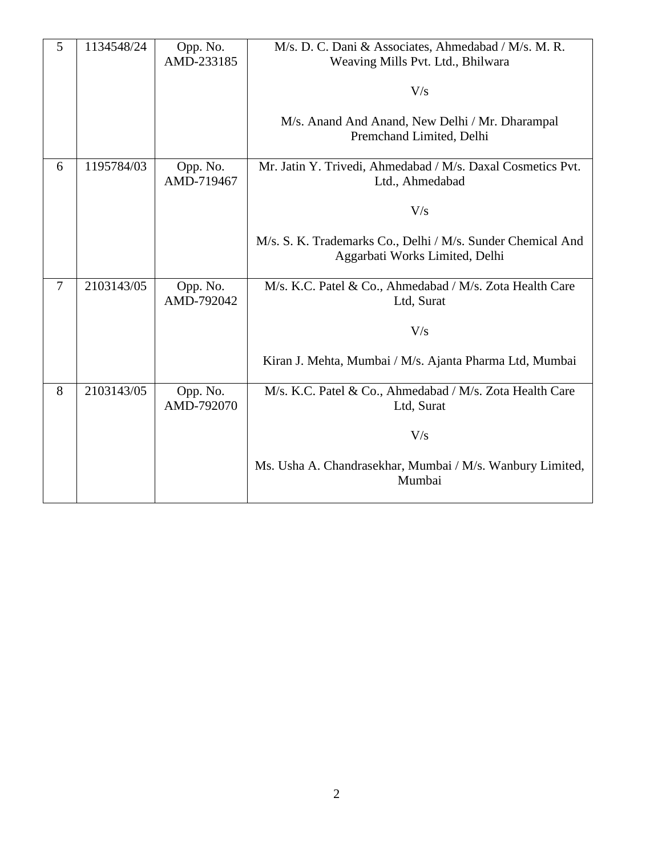| 5 | 1134548/24 | Opp. No.<br>AMD-233185 | M/s. D. C. Dani & Associates, Ahmedabad / M/s. M. R.<br>Weaving Mills Pvt. Ltd., Bhilwara     |
|---|------------|------------------------|-----------------------------------------------------------------------------------------------|
|   |            |                        | V/s                                                                                           |
|   |            |                        | M/s. Anand And Anand, New Delhi / Mr. Dharampal<br>Premchand Limited, Delhi                   |
| 6 | 1195784/03 | Opp. No.<br>AMD-719467 | Mr. Jatin Y. Trivedi, Ahmedabad / M/s. Daxal Cosmetics Pvt.<br>Ltd., Ahmedabad                |
|   |            |                        | V/s                                                                                           |
|   |            |                        | M/s. S. K. Trademarks Co., Delhi / M/s. Sunder Chemical And<br>Aggarbati Works Limited, Delhi |
| 7 | 2103143/05 | Opp. No.<br>AMD-792042 | M/s. K.C. Patel & Co., Ahmedabad / M/s. Zota Health Care<br>Ltd, Surat                        |
|   |            |                        | V/s                                                                                           |
|   |            |                        | Kiran J. Mehta, Mumbai / M/s. Ajanta Pharma Ltd, Mumbai                                       |
| 8 | 2103143/05 | Opp. No.<br>AMD-792070 | M/s. K.C. Patel & Co., Ahmedabad / M/s. Zota Health Care<br>Ltd, Surat                        |
|   |            |                        | V/s                                                                                           |
|   |            |                        | Ms. Usha A. Chandrasekhar, Mumbai / M/s. Wanbury Limited,<br>Mumbai                           |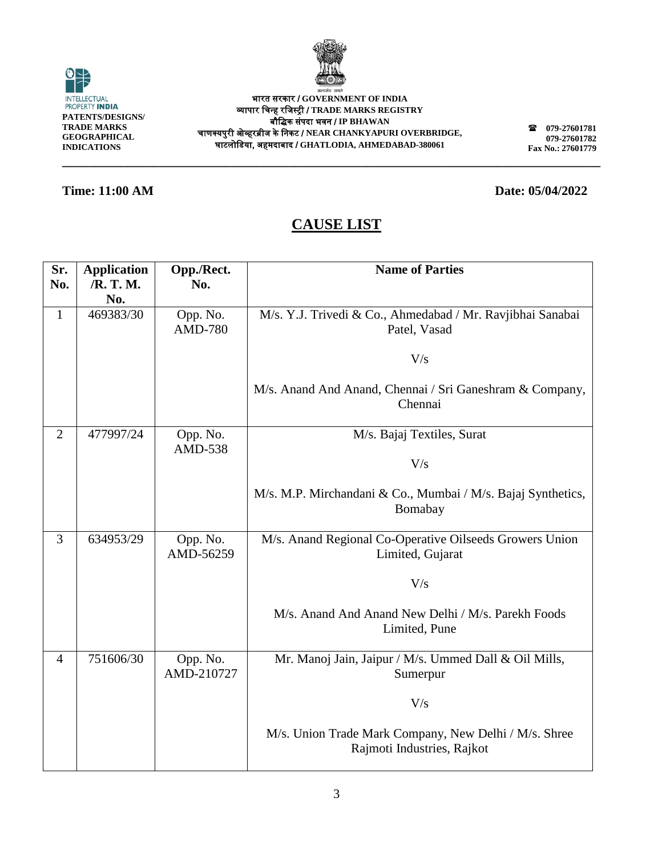

**\_\_\_\_\_\_\_\_\_\_\_\_\_\_\_\_\_\_\_\_\_\_\_\_\_\_\_\_\_\_\_\_\_\_\_\_\_\_\_\_\_\_\_\_\_\_\_\_\_\_\_\_\_\_\_\_\_\_\_\_\_\_\_\_\_\_\_\_\_\_\_\_\_\_\_\_\_\_\_\_\_\_\_**



भारत सरकार / **GOVERNMENT OF INDIA** व्यापार चिन्ह रचिस्ट्री / **TRADE MARKS REGISTRY** बौचिक संपदा भवन / **IP BHAWAN** िाणक्यपुरी ओव्हरब्रीि के चनकट / **NEAR CHANKYAPURI OVERBRIDGE,** घाटलोचिया, अहमदाबाद / **GHATLODIA, AHMEDABAD-380061**

**079-27601781 079-27601782 Fax No.: 27601779**

### **Time: 11:00 AM Date: 05/04/2022**

| Sr.            | <b>Application</b> | Opp./Rect.                 | <b>Name of Parties</b>                                                              |
|----------------|--------------------|----------------------------|-------------------------------------------------------------------------------------|
| No.            | /R. T. M.<br>No.   | No.                        |                                                                                     |
| $\mathbf{1}$   | 469383/30          | Opp. No.<br><b>AMD-780</b> | M/s. Y.J. Trivedi & Co., Ahmedabad / Mr. Ravjibhai Sanabai<br>Patel, Vasad          |
|                |                    |                            | V/s                                                                                 |
|                |                    |                            | M/s. Anand And Anand, Chennai / Sri Ganeshram & Company,<br>Chennai                 |
| $\overline{2}$ | 477997/24          | Opp. No.<br>AMD-538        | M/s. Bajaj Textiles, Surat                                                          |
|                |                    |                            | V/s                                                                                 |
|                |                    |                            | M/s. M.P. Mirchandani & Co., Mumbai / M/s. Bajaj Synthetics,<br>Bomabay             |
| $\overline{3}$ | 634953/29          | Opp. No.<br>AMD-56259      | M/s. Anand Regional Co-Operative Oilseeds Growers Union<br>Limited, Gujarat         |
|                |                    |                            | V/s                                                                                 |
|                |                    |                            | M/s. Anand And Anand New Delhi / M/s. Parekh Foods<br>Limited, Pune                 |
| $\overline{4}$ | 751606/30          | Opp. No.<br>AMD-210727     | Mr. Manoj Jain, Jaipur / M/s. Ummed Dall & Oil Mills,<br>Sumerpur                   |
|                |                    |                            | V/s                                                                                 |
|                |                    |                            | M/s. Union Trade Mark Company, New Delhi / M/s. Shree<br>Rajmoti Industries, Rajkot |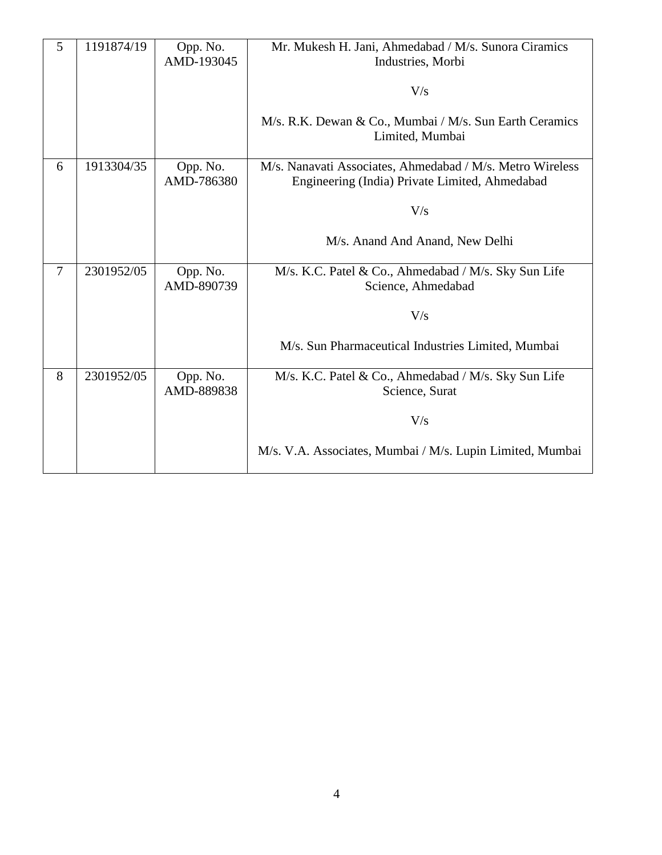| 5 | 1191874/19 | Opp. No.<br>AMD-193045 | Mr. Mukesh H. Jani, Ahmedabad / M/s. Sunora Ciramics<br>Industries, Morbi                                   |
|---|------------|------------------------|-------------------------------------------------------------------------------------------------------------|
|   |            |                        | V/s                                                                                                         |
|   |            |                        | M/s. R.K. Dewan & Co., Mumbai / M/s. Sun Earth Ceramics<br>Limited, Mumbai                                  |
| 6 | 1913304/35 | Opp. No.<br>AMD-786380 | M/s. Nanavati Associates, Ahmedabad / M/s. Metro Wireless<br>Engineering (India) Private Limited, Ahmedabad |
|   |            |                        | V/s                                                                                                         |
|   |            |                        | M/s. Anand And Anand, New Delhi                                                                             |
| 7 | 2301952/05 | Opp. No.<br>AMD-890739 | M/s. K.C. Patel & Co., Ahmedabad / M/s. Sky Sun Life<br>Science, Ahmedabad                                  |
|   |            |                        | V/s                                                                                                         |
|   |            |                        | M/s. Sun Pharmaceutical Industries Limited, Mumbai                                                          |
| 8 | 2301952/05 | Opp. No.<br>AMD-889838 | M/s. K.C. Patel & Co., Ahmedabad / M/s. Sky Sun Life<br>Science, Surat                                      |
|   |            |                        | V/s                                                                                                         |
|   |            |                        | M/s. V.A. Associates, Mumbai / M/s. Lupin Limited, Mumbai                                                   |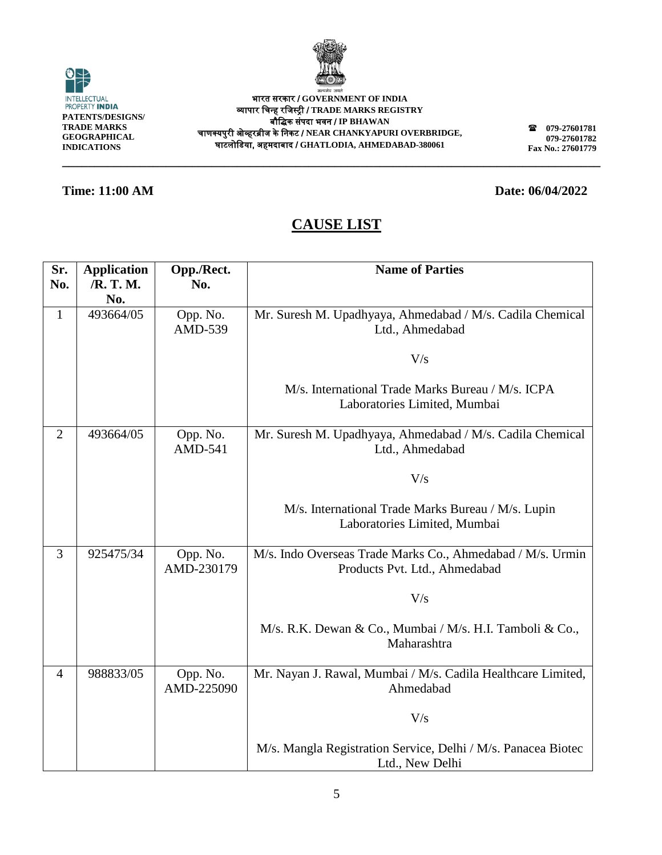

| <b>INTELLECTUAL</b><br><b>PROPERTY INDIA</b>                          |  |
|-----------------------------------------------------------------------|--|
| PATENTS/DESIGNS/<br>TRADE MARKS<br>GEOGRAPHICAL<br><b>INDICATIONS</b> |  |

भारत सरकार / **GOVERNMENT OF INDIA** व्यापार चिन्ह रचिस्ट्री / **TRADE MARKS REGISTRY** बौचिक संपदा भवन / **IP BHAWAN** िाणक्यपुरी ओव्हरब्रीि के चनकट / **NEAR CHANKYAPURI OVERBRIDGE,** घाटलोचिया, अहमदाबाद / **GHATLODIA, AHMEDABAD-380061**

**079-27601781 079-27601782 Fax No.: 27601779**

### **Time: 11:00 AM Date: 06/04/2022**

# **CAUSE LIST**

| Sr.            | <b>Application</b> | Opp./Rect.                 | <b>Name of Parties</b>                                                                      |
|----------------|--------------------|----------------------------|---------------------------------------------------------------------------------------------|
| No.            | /R. T. M.          | No.                        |                                                                                             |
|                | No.                |                            |                                                                                             |
| $\mathbf{1}$   | 493664/05          | Opp. No.<br>AMD-539        | Mr. Suresh M. Upadhyaya, Ahmedabad / M/s. Cadila Chemical<br>Ltd., Ahmedabad                |
|                |                    |                            | V/s                                                                                         |
|                |                    |                            | M/s. International Trade Marks Bureau / M/s. ICPA<br>Laboratories Limited, Mumbai           |
| $\overline{2}$ | 493664/05          | Opp. No.<br><b>AMD-541</b> | Mr. Suresh M. Upadhyaya, Ahmedabad / M/s. Cadila Chemical<br>Ltd., Ahmedabad                |
|                |                    |                            | V/s                                                                                         |
|                |                    |                            | M/s. International Trade Marks Bureau / M/s. Lupin<br>Laboratories Limited, Mumbai          |
| $\overline{3}$ | 925475/34          | Opp. No.<br>AMD-230179     | M/s. Indo Overseas Trade Marks Co., Ahmedabad / M/s. Urmin<br>Products Pvt. Ltd., Ahmedabad |
|                |                    |                            | V/s                                                                                         |
|                |                    |                            | M/s. R.K. Dewan & Co., Mumbai / M/s. H.I. Tamboli & Co.,<br>Maharashtra                     |
| $\overline{4}$ | 988833/05          | Opp. No.<br>AMD-225090     | Mr. Nayan J. Rawal, Mumbai / M/s. Cadila Healthcare Limited,<br>Ahmedabad                   |
|                |                    |                            | V/s                                                                                         |
|                |                    |                            | M/s. Mangla Registration Service, Delhi / M/s. Panacea Biotec<br>Ltd., New Delhi            |



5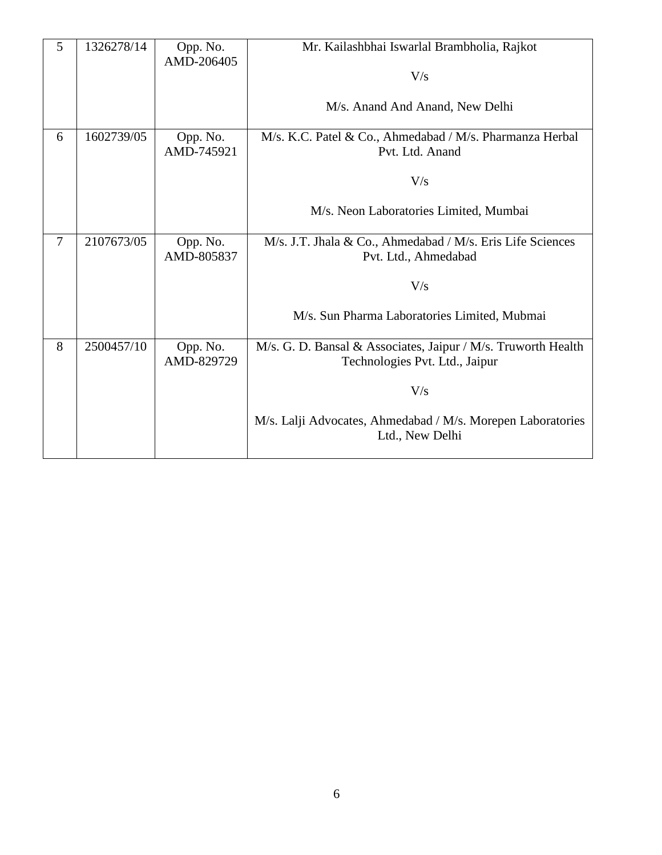| 5 | 1326278/14 | Opp. No.<br>AMD-206405 | Mr. Kailashbhai Iswarlal Brambholia, Rajkot                                                     |
|---|------------|------------------------|-------------------------------------------------------------------------------------------------|
|   |            |                        | V/s                                                                                             |
|   |            |                        | M/s. Anand And Anand, New Delhi                                                                 |
| 6 | 1602739/05 | Opp. No.<br>AMD-745921 | M/s. K.C. Patel & Co., Ahmedabad / M/s. Pharmanza Herbal<br>Pvt. Ltd. Anand                     |
|   |            |                        | V/s                                                                                             |
|   |            |                        | M/s. Neon Laboratories Limited, Mumbai                                                          |
| 7 | 2107673/05 | Opp. No.<br>AMD-805837 | M/s. J.T. Jhala & Co., Ahmedabad / M/s. Eris Life Sciences<br>Pvt. Ltd., Ahmedabad              |
|   |            |                        | V/s                                                                                             |
|   |            |                        | M/s. Sun Pharma Laboratories Limited, Mubmai                                                    |
| 8 | 2500457/10 | Opp. No.<br>AMD-829729 | M/s. G. D. Bansal & Associates, Jaipur / M/s. Truworth Health<br>Technologies Pvt. Ltd., Jaipur |
|   |            |                        | V/s                                                                                             |
|   |            |                        | M/s. Lalji Advocates, Ahmedabad / M/s. Morepen Laboratories<br>Ltd., New Delhi                  |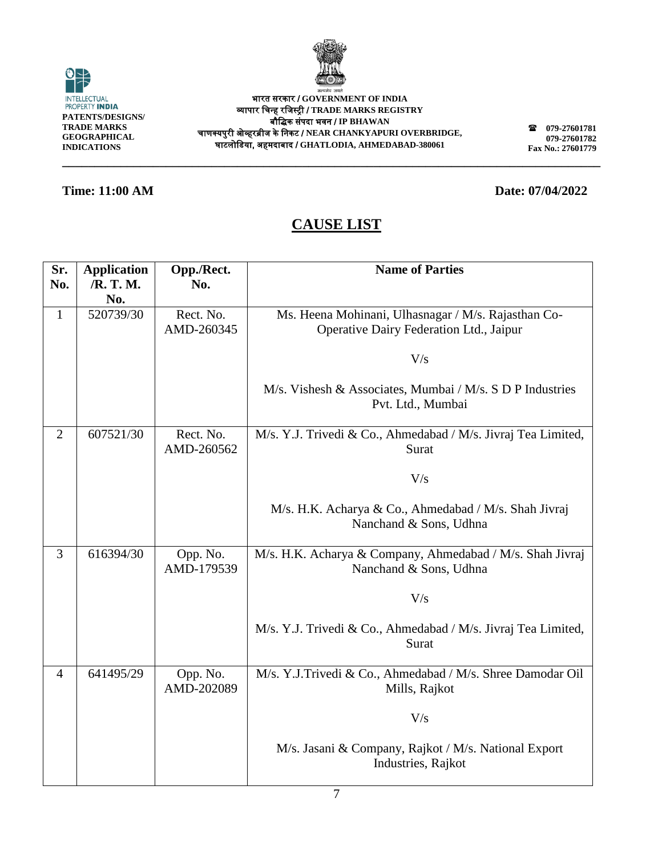

0 INTELLECTUAL<br>PROPERTY **INDIA PATENTS/DESIGNS/ TRADE MARKS GEOGRAPHICAL INDICATIONS**

भारत सरकार / **GOVERNMENT OF INDIA** व्यापार चिन्ह रचिस्ट्री / **TRADE MARKS REGISTRY** बौचिक संपदा भवन / **IP BHAWAN** िाणक्यपुरी ओव्हरब्रीि के चनकट / **NEAR CHANKYAPURI OVERBRIDGE,** घाटलोचिया, अहमदाबाद / **GHATLODIA, AHMEDABAD-380061**

**\_\_\_\_\_\_\_\_\_\_\_\_\_\_\_\_\_\_\_\_\_\_\_\_\_\_\_\_\_\_\_\_\_\_\_\_\_\_\_\_\_\_\_\_\_\_\_\_\_\_\_\_\_\_\_\_\_\_\_\_\_\_\_\_\_\_\_\_\_\_\_\_\_\_\_\_\_\_\_\_\_\_\_**

**079-27601781 079-27601782 Fax No.: 27601779**

### **Time: 11:00 AM Date: 07/04/2022**

| Sr.            | <b>Application</b> | Opp./Rect.             | <b>Name of Parties</b>                                        |
|----------------|--------------------|------------------------|---------------------------------------------------------------|
| No.            | /R. T. M.          | No.                    |                                                               |
|                | No.                |                        |                                                               |
| $\mathbf{1}$   | 520739/30          | Rect. No.              | Ms. Heena Mohinani, Ulhasnagar / M/s. Rajasthan Co-           |
|                |                    | AMD-260345             | Operative Dairy Federation Ltd., Jaipur                       |
|                |                    |                        |                                                               |
|                |                    |                        | V/s                                                           |
|                |                    |                        |                                                               |
|                |                    |                        | M/s. Vishesh & Associates, Mumbai / M/s. S D P Industries     |
|                |                    |                        | Pvt. Ltd., Mumbai                                             |
|                |                    |                        |                                                               |
| $\overline{2}$ | 607521/30          | Rect. No.              | M/s. Y.J. Trivedi & Co., Ahmedabad / M/s. Jivraj Tea Limited, |
|                |                    | AMD-260562             | Surat                                                         |
|                |                    |                        | V/s                                                           |
|                |                    |                        |                                                               |
|                |                    |                        | M/s. H.K. Acharya & Co., Ahmedabad / M/s. Shah Jivraj         |
|                |                    |                        | Nanchand & Sons, Udhna                                        |
|                |                    |                        |                                                               |
| 3              | 616394/30          | Opp. No.               | M/s. H.K. Acharya & Company, Ahmedabad / M/s. Shah Jivraj     |
|                |                    | AMD-179539             | Nanchand & Sons, Udhna                                        |
|                |                    |                        |                                                               |
|                |                    |                        | V/s                                                           |
|                |                    |                        |                                                               |
|                |                    |                        | M/s. Y.J. Trivedi & Co., Ahmedabad / M/s. Jivraj Tea Limited, |
|                |                    |                        | Surat                                                         |
|                |                    |                        |                                                               |
| 4              | 641495/29          | Opp. No.<br>AMD-202089 | M/s. Y.J.Trivedi & Co., Ahmedabad / M/s. Shree Damodar Oil    |
|                |                    |                        | Mills, Rajkot                                                 |
|                |                    |                        | V/s                                                           |
|                |                    |                        |                                                               |
|                |                    |                        | M/s. Jasani & Company, Rajkot / M/s. National Export          |
|                |                    |                        | Industries, Rajkot                                            |
|                |                    |                        |                                                               |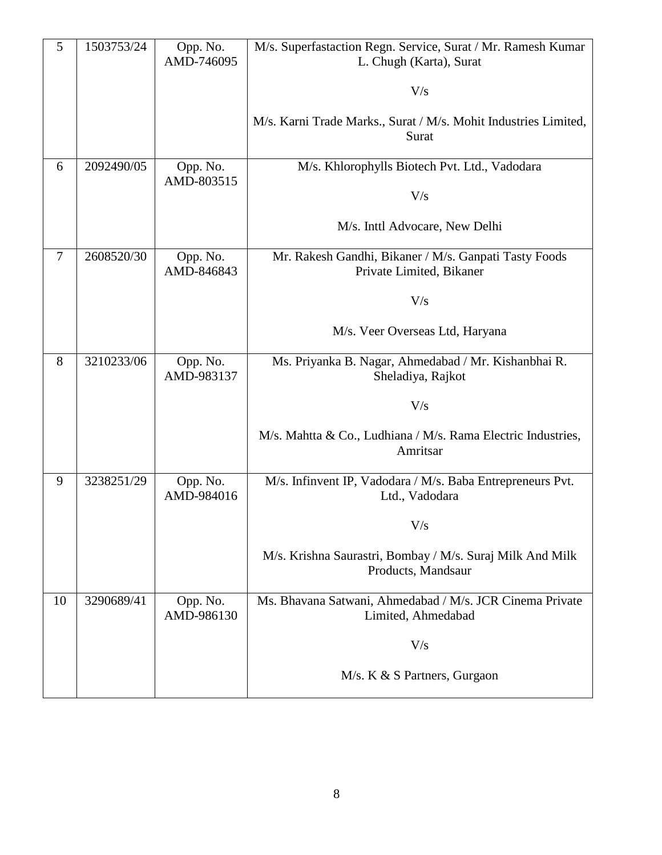| 5              | 1503753/24 | Opp. No.<br>AMD-746095 | M/s. Superfastaction Regn. Service, Surat / Mr. Ramesh Kumar<br>L. Chugh (Karta), Surat |
|----------------|------------|------------------------|-----------------------------------------------------------------------------------------|
|                |            |                        | V/s                                                                                     |
|                |            |                        | M/s. Karni Trade Marks., Surat / M/s. Mohit Industries Limited,<br>Surat                |
| 6              | 2092490/05 | Opp. No.<br>AMD-803515 | M/s. Khlorophylls Biotech Pvt. Ltd., Vadodara                                           |
|                |            |                        | V/s                                                                                     |
|                |            |                        | M/s. Inttl Advocare, New Delhi                                                          |
| $\overline{7}$ | 2608520/30 | Opp. No.<br>AMD-846843 | Mr. Rakesh Gandhi, Bikaner / M/s. Ganpati Tasty Foods<br>Private Limited, Bikaner       |
|                |            |                        | V/s                                                                                     |
|                |            |                        | M/s. Veer Overseas Ltd, Haryana                                                         |
| 8              | 3210233/06 | Opp. No.<br>AMD-983137 | Ms. Priyanka B. Nagar, Ahmedabad / Mr. Kishanbhai R.<br>Sheladiya, Rajkot               |
|                |            |                        | V/s                                                                                     |
|                |            |                        | M/s. Mahtta & Co., Ludhiana / M/s. Rama Electric Industries,<br>Amritsar                |
| 9              | 3238251/29 | Opp. No.<br>AMD-984016 | M/s. Infinvent IP, Vadodara / M/s. Baba Entrepreneurs Pvt.<br>Ltd., Vadodara            |
|                |            |                        | $\rm V/s$                                                                               |
|                |            |                        | M/s. Krishna Saurastri, Bombay / M/s. Suraj Milk And Milk<br>Products, Mandsaur         |
| 10             | 3290689/41 | Opp. No.<br>AMD-986130 | Ms. Bhavana Satwani, Ahmedabad / M/s. JCR Cinema Private<br>Limited, Ahmedabad          |
|                |            |                        | V/s                                                                                     |
|                |            |                        | M/s. K & S Partners, Gurgaon                                                            |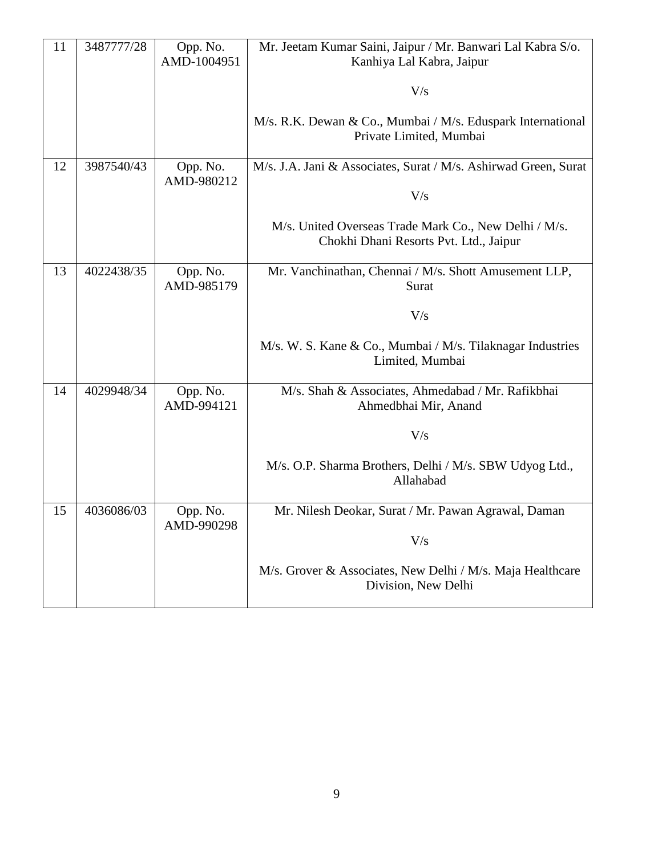| 11 | 3487777/28 | Opp. No.<br>AMD-1004951 | Mr. Jeetam Kumar Saini, Jaipur / Mr. Banwari Lal Kabra S/o.<br>Kanhiya Lal Kabra, Jaipur        |
|----|------------|-------------------------|-------------------------------------------------------------------------------------------------|
|    |            |                         | V/s                                                                                             |
|    |            |                         | M/s. R.K. Dewan & Co., Mumbai / M/s. Eduspark International<br>Private Limited, Mumbai          |
| 12 | 3987540/43 | Opp. No.<br>AMD-980212  | M/s. J.A. Jani & Associates, Surat / M/s. Ashirwad Green, Surat                                 |
|    |            |                         | V/s                                                                                             |
|    |            |                         | M/s. United Overseas Trade Mark Co., New Delhi / M/s.<br>Chokhi Dhani Resorts Pvt. Ltd., Jaipur |
| 13 | 4022438/35 | Opp. No.<br>AMD-985179  | Mr. Vanchinathan, Chennai / M/s. Shott Amusement LLP,<br>Surat                                  |
|    |            |                         | V/s                                                                                             |
|    |            |                         | M/s. W. S. Kane & Co., Mumbai / M/s. Tilaknagar Industries<br>Limited, Mumbai                   |
| 14 | 4029948/34 | Opp. No.<br>AMD-994121  | M/s. Shah & Associates, Ahmedabad / Mr. Rafikbhai<br>Ahmedbhai Mir, Anand                       |
|    |            |                         | V/s                                                                                             |
|    |            |                         | M/s. O.P. Sharma Brothers, Delhi / M/s. SBW Udyog Ltd.,<br>Allahabad                            |
| 15 | 4036086/03 | Opp. No.<br>AMD-990298  | Mr. Nilesh Deokar, Surat / Mr. Pawan Agrawal, Daman                                             |
|    |            |                         | V/s                                                                                             |
|    |            |                         | M/s. Grover & Associates, New Delhi / M/s. Maja Healthcare<br>Division, New Delhi               |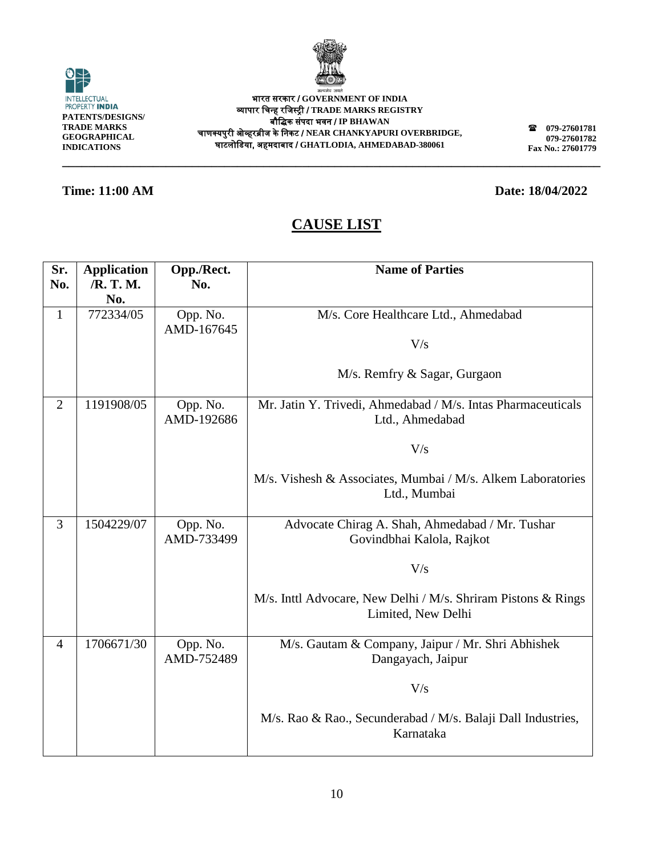

INTELLECTUAL<br>PROPERTY **INDIA PATENTS/DESIGNS/ TRADE MARKS GEOGRAPHICAL INDICATIONS**

0

भारत सरकार / **GOVERNMENT OF INDIA** व्यापार चिन्ह रचिस्ट्री / **TRADE MARKS REGISTRY** बौचिक संपदा भवन / **IP BHAWAN** िाणक्यपुरी ओव्हरब्रीि के चनकट / **NEAR CHANKYAPURI OVERBRIDGE,** घाटलोचिया, अहमदाबाद / **GHATLODIA, AHMEDABAD-380061**

**\_\_\_\_\_\_\_\_\_\_\_\_\_\_\_\_\_\_\_\_\_\_\_\_\_\_\_\_\_\_\_\_\_\_\_\_\_\_\_\_\_\_\_\_\_\_\_\_\_\_\_\_\_\_\_\_\_\_\_\_\_\_\_\_\_\_\_\_\_\_\_\_\_\_\_\_\_\_\_\_\_\_\_**

**079-27601781 079-27601782 Fax No.: 27601779**

### **Time: 11:00 AM Date: 18/04/2022**

| Sr.            | <b>Application</b> | Opp./Rect. | <b>Name of Parties</b>                                                    |
|----------------|--------------------|------------|---------------------------------------------------------------------------|
| No.            | /R. T. M.          | No.        |                                                                           |
|                | No.                |            |                                                                           |
| $\mathbf{1}$   | 772334/05          | Opp. No.   | M/s. Core Healthcare Ltd., Ahmedabad                                      |
|                |                    | AMD-167645 |                                                                           |
|                |                    |            | V/s                                                                       |
|                |                    |            |                                                                           |
|                |                    |            | M/s. Remfry & Sagar, Gurgaon                                              |
|                |                    |            |                                                                           |
| $\overline{2}$ | 1191908/05         | Opp. No.   | Mr. Jatin Y. Trivedi, Ahmedabad / M/s. Intas Pharmaceuticals              |
|                |                    | AMD-192686 | Ltd., Ahmedabad                                                           |
|                |                    |            |                                                                           |
|                |                    |            | V/s                                                                       |
|                |                    |            |                                                                           |
|                |                    |            | M/s. Vishesh & Associates, Mumbai / M/s. Alkem Laboratories               |
|                |                    |            | Ltd., Mumbai                                                              |
| 3              | 1504229/07         | Opp. No.   | Advocate Chirag A. Shah, Ahmedabad / Mr. Tushar                           |
|                |                    | AMD-733499 | Govindbhai Kalola, Rajkot                                                 |
|                |                    |            |                                                                           |
|                |                    |            | V/s                                                                       |
|                |                    |            |                                                                           |
|                |                    |            | M/s. Inttl Advocare, New Delhi / M/s. Shriram Pistons & Rings             |
|                |                    |            | Limited, New Delhi                                                        |
|                |                    |            |                                                                           |
| 4              | 1706671/30         | Opp. No.   | M/s. Gautam & Company, Jaipur / Mr. Shri Abhishek                         |
|                |                    | AMD-752489 | Dangayach, Jaipur                                                         |
|                |                    |            |                                                                           |
|                |                    |            | V/s                                                                       |
|                |                    |            |                                                                           |
|                |                    |            | M/s. Rao & Rao., Secunderabad / M/s. Balaji Dall Industries,<br>Karnataka |
|                |                    |            |                                                                           |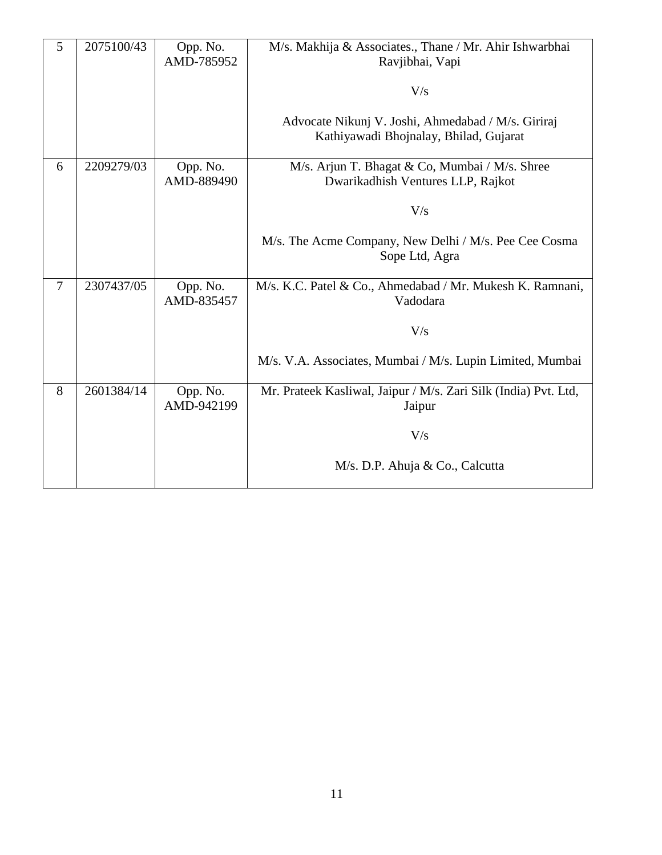| 5 | 2075100/43 | Opp. No.<br>AMD-785952 | M/s. Makhija & Associates., Thane / Mr. Ahir Ishwarbhai<br>Ravjibhai, Vapi                   |
|---|------------|------------------------|----------------------------------------------------------------------------------------------|
|   |            |                        | V/s                                                                                          |
|   |            |                        | Advocate Nikunj V. Joshi, Ahmedabad / M/s. Giriraj<br>Kathiyawadi Bhojnalay, Bhilad, Gujarat |
| 6 | 2209279/03 | Opp. No.<br>AMD-889490 | M/s. Arjun T. Bhagat & Co, Mumbai / M/s. Shree<br>Dwarikadhish Ventures LLP, Rajkot          |
|   |            |                        | V/s                                                                                          |
|   |            |                        | M/s. The Acme Company, New Delhi / M/s. Pee Cee Cosma<br>Sope Ltd, Agra                      |
| 7 | 2307437/05 | Opp. No.<br>AMD-835457 | M/s. K.C. Patel & Co., Ahmedabad / Mr. Mukesh K. Ramnani,<br>Vadodara                        |
|   |            |                        | V/s                                                                                          |
|   |            |                        | M/s. V.A. Associates, Mumbai / M/s. Lupin Limited, Mumbai                                    |
| 8 | 2601384/14 | Opp. No.<br>AMD-942199 | Mr. Prateek Kasliwal, Jaipur / M/s. Zari Silk (India) Pvt. Ltd,<br>Jaipur                    |
|   |            |                        | V/s                                                                                          |
|   |            |                        | M/s. D.P. Ahuja & Co., Calcutta                                                              |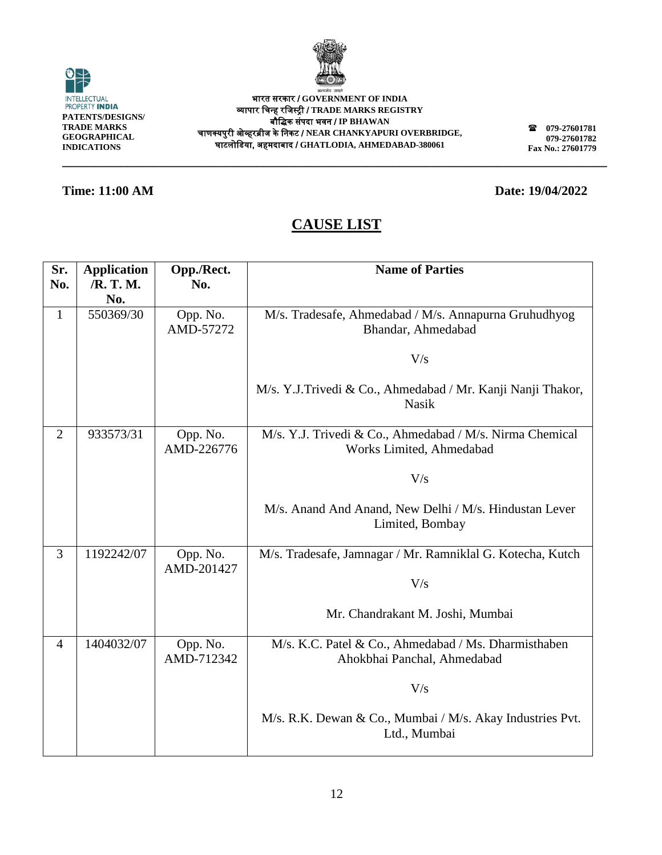| ٠ |
|---|
|   |
|   |

व्यापार चिन्ह रचिस्ट्री / **TRADE MARKS REGISTRY** बौचिक संपदा भवन / **IP BHAWAN** िाणक्यपुरी ओव्हरब्रीि के चनकट / **NEAR CHANKYAPURI OVERBRIDGE,** घाटलोचिया, अहमदाबाद / **GHATLODIA, AHMEDABAD-380061**

# **CAUSE LIST**

**\_\_\_\_\_\_\_\_\_\_\_\_\_\_\_\_\_\_\_\_\_\_\_\_\_\_\_\_\_\_\_\_\_\_\_\_\_\_\_\_\_\_\_\_\_\_\_\_\_\_\_\_\_\_\_\_\_\_\_\_\_\_\_\_\_\_\_\_\_\_\_\_\_\_\_\_\_\_\_\_\_\_\_\_**

| Sr.<br>No.     | <b>Application</b><br>/R. T. M.<br>No. | Opp./Rect.<br>No.      | <b>Name of Parties</b>                                                               |
|----------------|----------------------------------------|------------------------|--------------------------------------------------------------------------------------|
| $\mathbf{1}$   | 550369/30                              | Opp. No.<br>AMD-57272  | M/s. Tradesafe, Ahmedabad / M/s. Annapurna Gruhudhyog<br>Bhandar, Ahmedabad          |
|                |                                        |                        | V/s                                                                                  |
|                |                                        |                        | M/s. Y.J.Trivedi & Co., Ahmedabad / Mr. Kanji Nanji Thakor,<br><b>Nasik</b>          |
| $\overline{2}$ | 933573/31                              | Opp. No.<br>AMD-226776 | M/s. Y.J. Trivedi & Co., Ahmedabad / M/s. Nirma Chemical<br>Works Limited, Ahmedabad |
|                |                                        |                        | V/s                                                                                  |
|                |                                        |                        | M/s. Anand And Anand, New Delhi / M/s. Hindustan Lever<br>Limited, Bombay            |
| 3              | 1192242/07                             | Opp. No.<br>AMD-201427 | M/s. Tradesafe, Jamnagar / Mr. Ramniklal G. Kotecha, Kutch                           |
|                |                                        |                        | V/s                                                                                  |
|                |                                        |                        | Mr. Chandrakant M. Joshi, Mumbai                                                     |
| $\overline{4}$ | 1404032/07                             | Opp. No.<br>AMD-712342 | M/s. K.C. Patel & Co., Ahmedabad / Ms. Dharmisthaben<br>Ahokbhai Panchal, Ahmedabad  |
|                |                                        |                        | V/s                                                                                  |
|                |                                        |                        | M/s. R.K. Dewan & Co., Mumbai / M/s. Akay Industries Pvt.<br>Ltd., Mumbai            |



**079-27601781 079-27601782 Fax No.: 27601779**

**Time: 11:00 AM Date: 19/04/2022** 

भारत सरकार / **GOVERNMENT OF INDIA**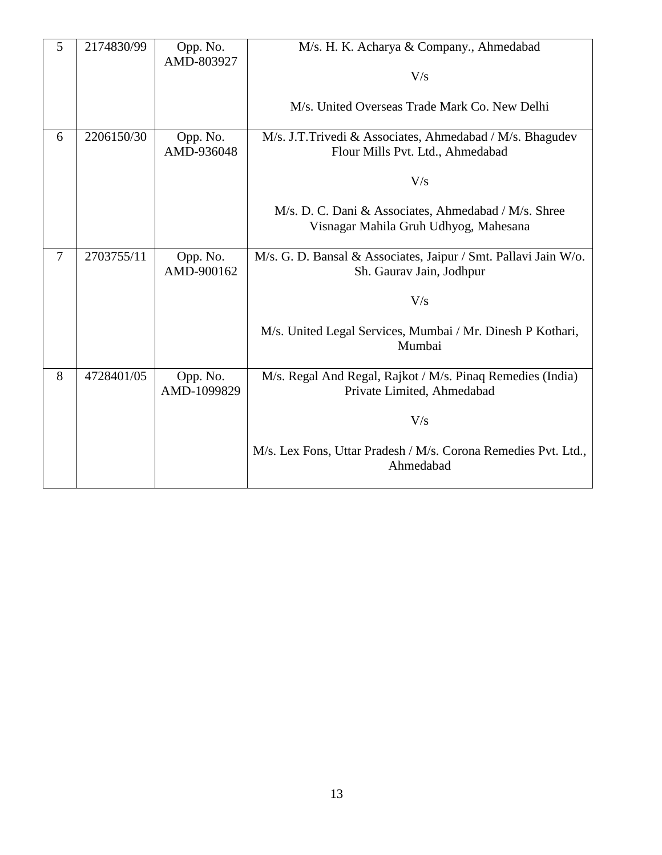| 5              | 2174830/99 | Opp. No.<br>AMD-803927  | M/s. H. K. Acharya & Company., Ahmedabad                                                      |
|----------------|------------|-------------------------|-----------------------------------------------------------------------------------------------|
|                |            |                         | V/s                                                                                           |
|                |            |                         | M/s. United Overseas Trade Mark Co. New Delhi                                                 |
| 6              | 2206150/30 | Opp. No.<br>AMD-936048  | M/s. J.T.Trivedi & Associates, Ahmedabad / M/s. Bhagudev<br>Flour Mills Pvt. Ltd., Ahmedabad  |
|                |            |                         | V/s                                                                                           |
|                |            |                         | M/s. D. C. Dani & Associates, Ahmedabad / M/s. Shree<br>Visnagar Mahila Gruh Udhyog, Mahesana |
| $\overline{7}$ | 2703755/11 | Opp. No.<br>AMD-900162  | M/s. G. D. Bansal & Associates, Jaipur / Smt. Pallavi Jain W/o.<br>Sh. Gaurav Jain, Jodhpur   |
|                |            |                         | V/s                                                                                           |
|                |            |                         | M/s. United Legal Services, Mumbai / Mr. Dinesh P Kothari,<br>Mumbai                          |
| 8              | 4728401/05 | Opp. No.<br>AMD-1099829 | M/s. Regal And Regal, Rajkot / M/s. Pinaq Remedies (India)<br>Private Limited, Ahmedabad      |
|                |            |                         | V/s                                                                                           |
|                |            |                         | M/s. Lex Fons, Uttar Pradesh / M/s. Corona Remedies Pvt. Ltd.,<br>Ahmedabad                   |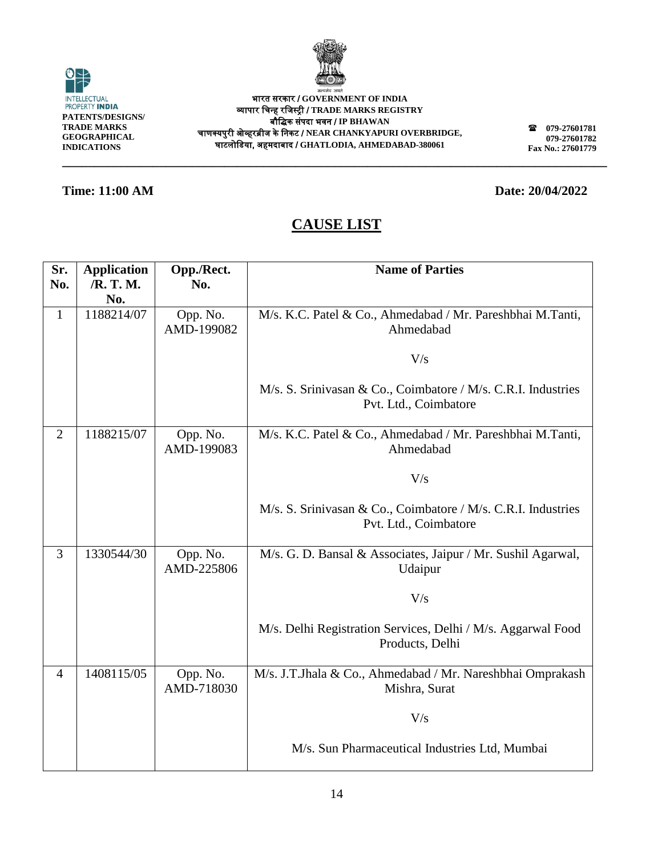

O INTELLECTUAL<br>PROPERTY **INDIA PATENTS/DESIGNS/ TRADE MARKS GEOGRAPHICAL INDICATIONS**

भारत सरकार / **GOVERNMENT OF INDIA** व्यापार चिन्ह रचिस्ट्री / **TRADE MARKS REGISTRY** बौचिक संपदा भवन / **IP BHAWAN** िाणक्यपुरी ओव्हरब्रीि के चनकट / **NEAR CHANKYAPURI OVERBRIDGE,** घाटलोचिया, अहमदाबाद / **GHATLODIA, AHMEDABAD-380061**

**079-27601781 079-27601782 Fax No.: 27601779**

### **Time: 11:00 AM Date: 20/04/2022**

## **CAUSE LIST**

**\_\_\_\_\_\_\_\_\_\_\_\_\_\_\_\_\_\_\_\_\_\_\_\_\_\_\_\_\_\_\_\_\_\_\_\_\_\_\_\_\_\_\_\_\_\_\_\_\_\_\_\_\_\_\_\_\_\_\_\_\_\_\_\_\_\_\_\_\_\_\_\_\_\_\_\_\_\_\_\_\_\_\_\_**

| Sr.            | <b>Application</b> | Opp./Rect.             | <b>Name of Parties</b>                                                                 |
|----------------|--------------------|------------------------|----------------------------------------------------------------------------------------|
| No.            | /R. T. M.          | No.                    |                                                                                        |
|                | No.                |                        |                                                                                        |
| $\mathbf{1}$   | 1188214/07         | Opp. No.<br>AMD-199082 | M/s. K.C. Patel & Co., Ahmedabad / Mr. Pareshbhai M.Tanti,<br>Ahmedabad                |
|                |                    |                        | V/s                                                                                    |
|                |                    |                        | M/s. S. Srinivasan & Co., Coimbatore / M/s. C.R.I. Industries<br>Pvt. Ltd., Coimbatore |
| $\overline{2}$ | 1188215/07         | Opp. No.<br>AMD-199083 | M/s. K.C. Patel & Co., Ahmedabad / Mr. Pareshbhai M.Tanti,<br>Ahmedabad                |
|                |                    |                        | V/s                                                                                    |
|                |                    |                        | M/s. S. Srinivasan & Co., Coimbatore / M/s. C.R.I. Industries<br>Pvt. Ltd., Coimbatore |
| $\overline{3}$ | 1330544/30         | Opp. No.<br>AMD-225806 | M/s. G. D. Bansal & Associates, Jaipur / Mr. Sushil Agarwal,<br>Udaipur                |
|                |                    |                        | V/s                                                                                    |
|                |                    |                        | M/s. Delhi Registration Services, Delhi / M/s. Aggarwal Food<br>Products, Delhi        |
| $\overline{4}$ | 1408115/05         | Opp. No.<br>AMD-718030 | M/s. J.T.Jhala & Co., Ahmedabad / Mr. Nareshbhai Omprakash<br>Mishra, Surat            |
|                |                    |                        | V/s                                                                                    |
|                |                    |                        | M/s. Sun Pharmaceutical Industries Ltd, Mumbai                                         |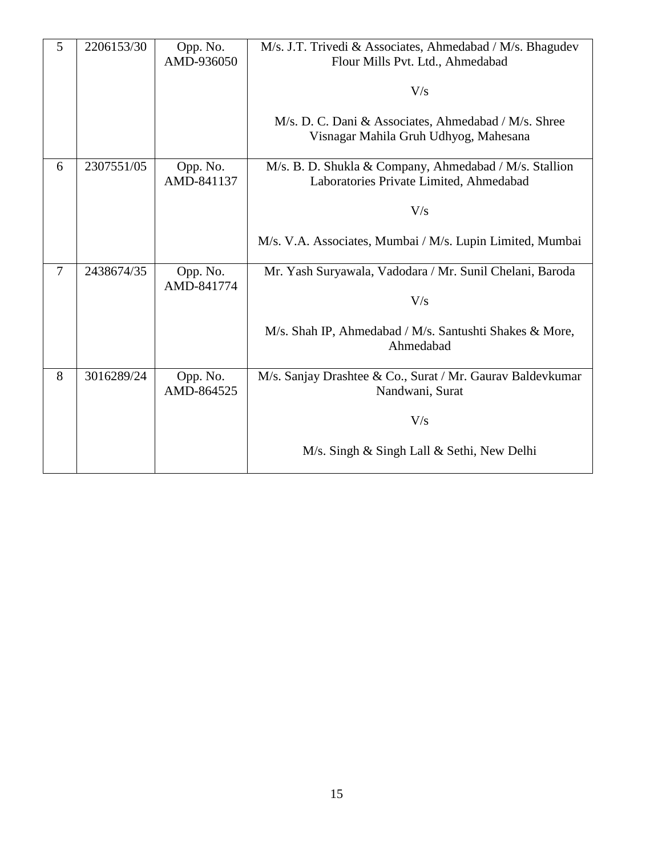| 5 | 2206153/30 | Opp. No.<br>AMD-936050 | M/s. J.T. Trivedi & Associates, Ahmedabad / M/s. Bhagudev<br>Flour Mills Pvt. Ltd., Ahmedabad     |
|---|------------|------------------------|---------------------------------------------------------------------------------------------------|
|   |            |                        | V/s                                                                                               |
|   |            |                        | M/s. D. C. Dani & Associates, Ahmedabad / M/s. Shree<br>Visnagar Mahila Gruh Udhyog, Mahesana     |
| 6 | 2307551/05 | Opp. No.<br>AMD-841137 | M/s. B. D. Shukla & Company, Ahmedabad / M/s. Stallion<br>Laboratories Private Limited, Ahmedabad |
|   |            |                        | V/s                                                                                               |
|   |            |                        | M/s. V.A. Associates, Mumbai / M/s. Lupin Limited, Mumbai                                         |
| 7 | 2438674/35 | Opp. No.<br>AMD-841774 | Mr. Yash Suryawala, Vadodara / Mr. Sunil Chelani, Baroda                                          |
|   |            |                        | V/s                                                                                               |
|   |            |                        | M/s. Shah IP, Ahmedabad / M/s. Santushti Shakes & More,<br>Ahmedabad                              |
| 8 | 3016289/24 | Opp. No.<br>AMD-864525 | M/s. Sanjay Drashtee & Co., Surat / Mr. Gaurav Baldevkumar<br>Nandwani, Surat                     |
|   |            |                        | V/s                                                                                               |
|   |            |                        | M/s. Singh & Singh Lall & Sethi, New Delhi                                                        |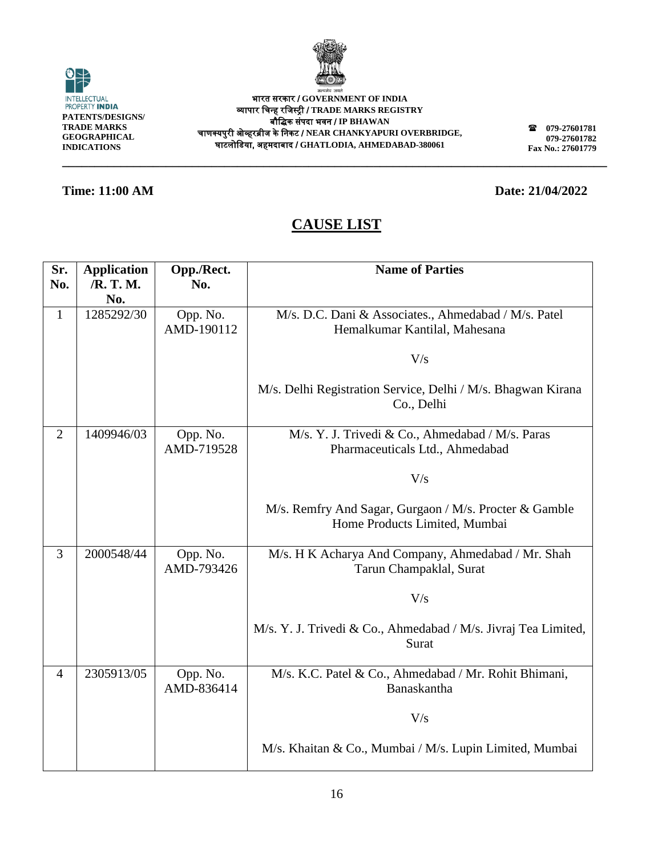

**\_\_\_\_\_\_\_\_\_\_\_\_\_\_\_\_\_\_\_\_\_\_\_\_\_\_\_\_\_\_\_\_\_\_\_\_\_\_\_\_\_\_\_\_\_\_\_\_\_\_\_\_\_\_\_\_\_\_\_\_\_\_\_\_\_\_\_\_\_\_\_\_\_\_\_\_\_\_\_\_\_\_\_\_**

| <b>INTELLECTUAL</b><br>PROPERTY INDIA |
|---------------------------------------|
| PATENTS/DESIGNS/                      |
| TRADE MARKS                           |
| GEOGRAPHICAL                          |
| <b>INDICATIONS</b>                    |

भारत सरकार / **GOVERNMENT OF INDIA** व्यापार चिन्ह रचिस्ट्री / **TRADE MARKS REGISTRY** बौचिक संपदा भवन / **IP BHAWAN** िाणक्यपुरी ओव्हरब्रीि के चनकट / **NEAR CHANKYAPURI OVERBRIDGE,** घाटलोचिया, अहमदाबाद / **GHATLODIA, AHMEDABAD-380061**

**079-27601781 079-27601782 Fax No.: 27601779**

### **Time: 11:00 AM Date: 21/04/2022**

| Sr.<br>No.     | <b>Application</b><br>/R. T. M.<br>No. | Opp./Rect.<br>No.      | <b>Name of Parties</b>                                                                  |
|----------------|----------------------------------------|------------------------|-----------------------------------------------------------------------------------------|
| $\mathbf{1}$   | 1285292/30                             | Opp. No.<br>AMD-190112 | M/s. D.C. Dani & Associates., Ahmedabad / M/s. Patel<br>Hemalkumar Kantilal, Mahesana   |
|                |                                        |                        | V/s                                                                                     |
|                |                                        |                        | M/s. Delhi Registration Service, Delhi / M/s. Bhagwan Kirana<br>Co., Delhi              |
| $\overline{2}$ | 1409946/03                             | Opp. No.<br>AMD-719528 | M/s. Y. J. Trivedi & Co., Ahmedabad / M/s. Paras<br>Pharmaceuticals Ltd., Ahmedabad     |
|                |                                        |                        | V/s                                                                                     |
|                |                                        |                        | M/s. Remfry And Sagar, Gurgaon / M/s. Procter & Gamble<br>Home Products Limited, Mumbai |
| 3              | 2000548/44                             | Opp. No.<br>AMD-793426 | M/s. H K Acharya And Company, Ahmedabad / Mr. Shah<br>Tarun Champaklal, Surat           |
|                |                                        |                        | V/s                                                                                     |
|                |                                        |                        | M/s. Y. J. Trivedi & Co., Ahmedabad / M/s. Jivraj Tea Limited,<br>Surat                 |
| $\overline{4}$ | 2305913/05                             | Opp. No.<br>AMD-836414 | M/s. K.C. Patel & Co., Ahmedabad / Mr. Rohit Bhimani,<br>Banaskantha                    |
|                |                                        |                        | V/s                                                                                     |
|                |                                        |                        | M/s. Khaitan & Co., Mumbai / M/s. Lupin Limited, Mumbai                                 |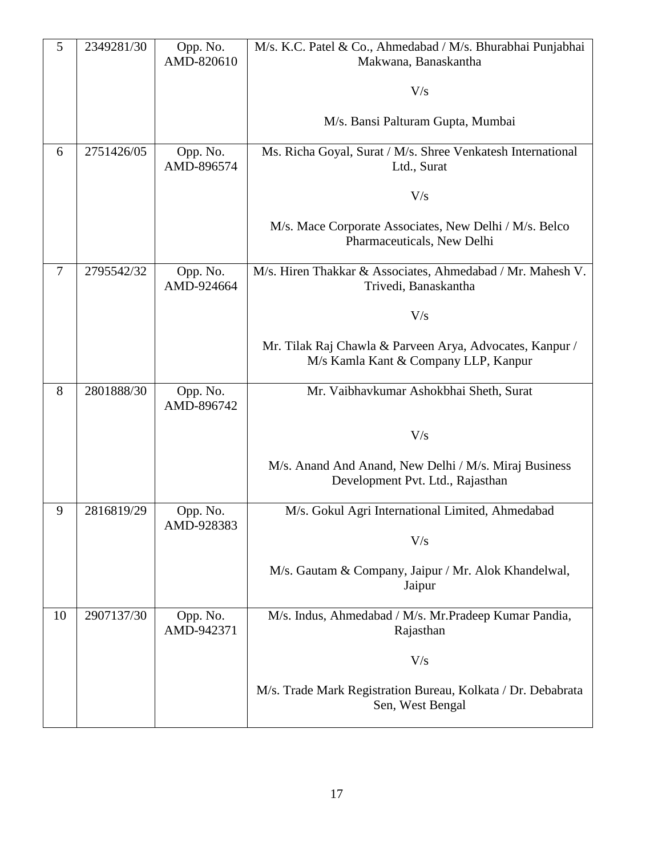| 5      | 2349281/30 | Opp. No.               | M/s. K.C. Patel & Co., Ahmedabad / M/s. Bhurabhai Punjabhai                                      |
|--------|------------|------------------------|--------------------------------------------------------------------------------------------------|
|        |            | AMD-820610             | Makwana, Banaskantha                                                                             |
|        |            |                        | V/s                                                                                              |
|        |            |                        | M/s. Bansi Palturam Gupta, Mumbai                                                                |
| 6      | 2751426/05 | Opp. No.<br>AMD-896574 | Ms. Richa Goyal, Surat / M/s. Shree Venkatesh International<br>Ltd., Surat                       |
|        |            |                        | V/s                                                                                              |
|        |            |                        | M/s. Mace Corporate Associates, New Delhi / M/s. Belco<br>Pharmaceuticals, New Delhi             |
| $\tau$ | 2795542/32 | Opp. No.<br>AMD-924664 | M/s. Hiren Thakkar & Associates, Ahmedabad / Mr. Mahesh V.<br>Trivedi, Banaskantha               |
|        |            |                        | V/s                                                                                              |
|        |            |                        | Mr. Tilak Raj Chawla & Parveen Arya, Advocates, Kanpur /<br>M/s Kamla Kant & Company LLP, Kanpur |
| 8      | 2801888/30 | Opp. No.<br>AMD-896742 | Mr. Vaibhavkumar Ashokbhai Sheth, Surat                                                          |
|        |            |                        | V/s                                                                                              |
|        |            |                        | M/s. Anand And Anand, New Delhi / M/s. Miraj Business<br>Development Pvt. Ltd., Rajasthan        |
| 9      | 2816819/29 | Opp. No.<br>AMD-928383 | M/s. Gokul Agri International Limited, Ahmedabad                                                 |
|        |            |                        | V/s                                                                                              |
|        |            |                        | M/s. Gautam & Company, Jaipur / Mr. Alok Khandelwal,<br>Jaipur                                   |
| 10     | 2907137/30 | Opp. No.<br>AMD-942371 | M/s. Indus, Ahmedabad / M/s. Mr. Pradeep Kumar Pandia,<br>Rajasthan                              |
|        |            |                        | V/s                                                                                              |
|        |            |                        | M/s. Trade Mark Registration Bureau, Kolkata / Dr. Debabrata<br>Sen, West Bengal                 |